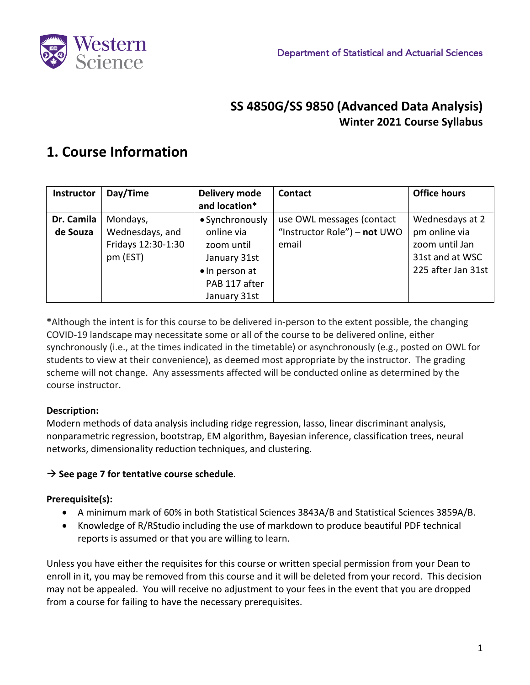

### **SS 4850G/SS 9850 (Advanced Data Analysis) Winter 2021 Course Syllabus**

### **1. Course Information**

| Instructor | Day/Time           | Delivery mode   | Contact                      | <b>Office hours</b> |
|------------|--------------------|-----------------|------------------------------|---------------------|
|            |                    | and location*   |                              |                     |
| Dr. Camila | Mondays,           | • Synchronously | use OWL messages (contact    | Wednesdays at 2     |
| de Souza   | Wednesdays, and    | online via      | "Instructor Role") - not UWO | pm online via       |
|            | Fridays 12:30-1:30 | zoom until      | email                        | zoom until Jan      |
|            | pm (EST)           | January 31st    |                              | 31st and at WSC     |
|            |                    | • In person at  |                              | 225 after Jan 31st  |
|            |                    | PAB 117 after   |                              |                     |
|            |                    | January 31st    |                              |                     |

**\***Although the intent is for this course to be delivered in-person to the extent possible, the changing COVID-19 landscape may necessitate some or all of the course to be delivered online, either synchronously (i.e., at the times indicated in the timetable) or asynchronously (e.g., posted on OWL for students to view at their convenience), as deemed most appropriate by the instructor. The grading scheme will not change. Any assessments affected will be conducted online as determined by the course instructor.

#### **Description:**

Modern methods of data analysis including ridge regression, lasso, linear discriminant analysis, nonparametric regression, bootstrap, EM algorithm, Bayesian inference, classification trees, neural networks, dimensionality reduction techniques, and clustering.

#### $\rightarrow$  See page 7 for tentative course schedule.

#### **Prerequisite(s):**

- A minimum mark of 60% in both Statistical Sciences 3843A/B and Statistical Sciences 3859A/B.
- Knowledge of R/RStudio including the use of markdown to produce beautiful PDF technical reports is assumed or that you are willing to learn.

Unless you have either the requisites for this course or written special permission from your Dean to enroll in it, you may be removed from this course and it will be deleted from your record. This decision may not be appealed. You will receive no adjustment to your fees in the event that you are dropped from a course for failing to have the necessary prerequisites.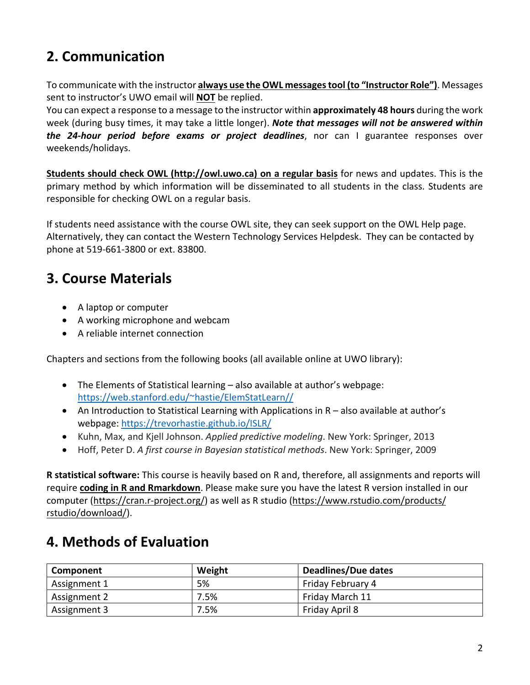# **2. Communication**

To communicate with the instructor **always use the OWL messagestool (to "Instructor Role")**. Messages sent to instructor's UWO email will **NOT** be replied.

You can expect a response to a message to the instructor within **approximately 48 hours** during the work week (during busy times, it may take a little longer). *Note that messages will not be answered within the 24-hour period before exams or project deadlines*, nor can I guarantee responses over weekends/holidays.

**Students should check OWL (http://owl.uwo.ca) on a regular basis** for news and updates. This is the primary method by which information will be disseminated to all students in the class. Students are responsible for checking OWL on a regular basis.

If students need assistance with the course OWL site, they can seek support on the OWL Help page. Alternatively, they can contact the Western Technology Services Helpdesk. They can be contacted by phone at 519-661-3800 or ext. 83800.

### **3. Course Materials**

- A laptop or computer
- A working microphone and webcam
- A reliable internet connection

Chapters and sections from the following books (all available online at UWO library):

- The Elements of Statistical learning also available at author's webpage: https://web.stanford.edu/~hastie/ElemStatLearn//
- An Introduction to Statistical Learning with Applications in R also available at author's webpage: https://trevorhastie.github.io/ISLR/
- Kuhn, Max, and Kjell Johnson. *Applied predictive modeling*. New York: Springer, 2013
- Hoff, Peter D. *A first course in Bayesian statistical methods*. New York: Springer, 2009

**R statistical software:** This course is heavily based on R and, therefore, all assignments and reports will require **coding in R and Rmarkdown**. Please make sure you have the latest R version installed in our computer (https://cran.r-project.org/) as well as R studio (https://www.rstudio.com/products/ rstudio/download/).

## **4. Methods of Evaluation**

| Component    | Weight | <b>Deadlines/Due dates</b> |
|--------------|--------|----------------------------|
| Assignment 1 | 5%     | Friday February 4          |
| Assignment 2 | 7.5%   | Friday March 11            |
| Assignment 3 | 7.5%   | Friday April 8             |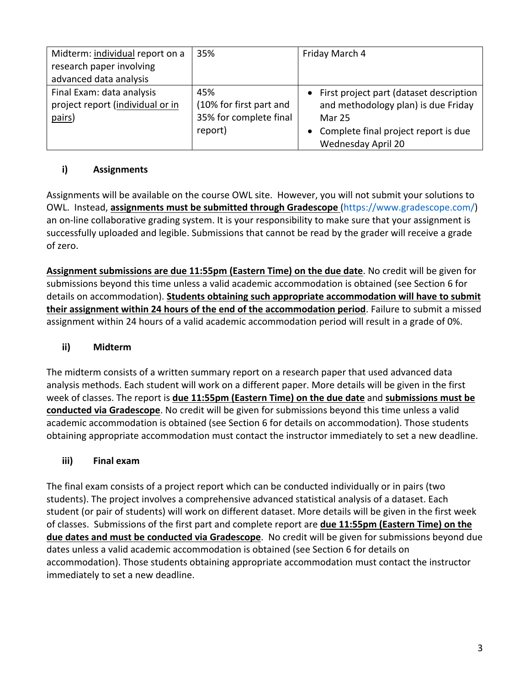| Midterm: individual report on a  | 35%                     | Friday March 4                            |
|----------------------------------|-------------------------|-------------------------------------------|
| research paper involving         |                         |                                           |
| advanced data analysis           |                         |                                           |
| Final Exam: data analysis        | 45%                     | • First project part (dataset description |
| project report (individual or in | (10% for first part and | and methodology plan) is due Friday       |
| pairs)                           | 35% for complete final  | Mar 25                                    |
|                                  | report)                 | Complete final project report is due      |
|                                  |                         | Wednesday April 20                        |

#### **i) Assignments**

Assignments will be available on the course OWL site. However, you will not submit your solutions to OWL. Instead, **assignments must be submitted through Gradescope** (https://www.gradescope.com/) an on-line collaborative grading system. It is your responsibility to make sure that your assignment is successfully uploaded and legible. Submissions that cannot be read by the grader will receive a grade of zero.

**Assignment submissions are due 11:55pm (Eastern Time) on the due date**. No credit will be given for submissions beyond this time unless a valid academic accommodation is obtained (see Section 6 for details on accommodation). **Students obtaining such appropriate accommodation will have to submit their assignment within 24 hours of the end of the accommodation period**. Failure to submit a missed assignment within 24 hours of a valid academic accommodation period will result in a grade of 0%.

#### **ii) Midterm**

The midterm consists of a written summary report on a research paper that used advanced data analysis methods. Each student will work on a different paper. More details will be given in the first week of classes. The report is **due 11:55pm (Eastern Time) on the due date** and **submissions must be conducted via Gradescope**. No credit will be given for submissions beyond this time unless a valid academic accommodation is obtained (see Section 6 for details on accommodation). Those students obtaining appropriate accommodation must contact the instructor immediately to set a new deadline.

#### **iii) Final exam**

The final exam consists of a project report which can be conducted individually or in pairs (two students). The project involves a comprehensive advanced statistical analysis of a dataset. Each student (or pair of students) will work on different dataset. More details will be given in the first week of classes. Submissions of the first part and complete report are **due 11:55pm (Eastern Time) on the due dates and must be conducted via Gradescope**. No credit will be given for submissions beyond due dates unless a valid academic accommodation is obtained (see Section 6 for details on accommodation). Those students obtaining appropriate accommodation must contact the instructor immediately to set a new deadline.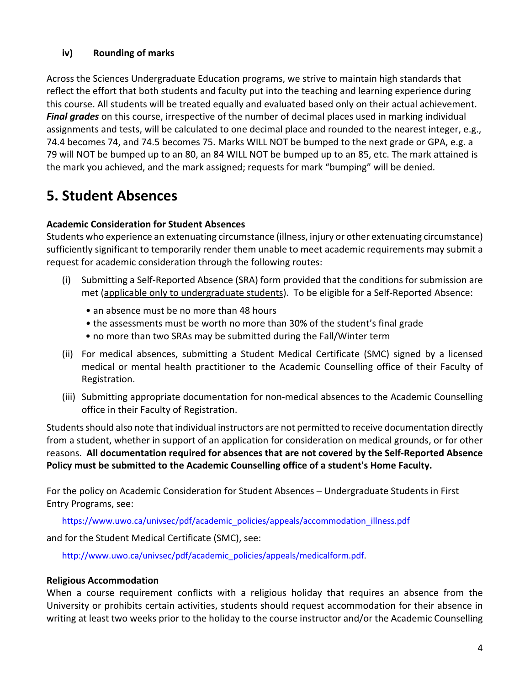#### **iv) Rounding of marks**

Across the Sciences Undergraduate Education programs, we strive to maintain high standards that reflect the effort that both students and faculty put into the teaching and learning experience during this course. All students will be treated equally and evaluated based only on their actual achievement. *Final grades* on this course, irrespective of the number of decimal places used in marking individual assignments and tests, will be calculated to one decimal place and rounded to the nearest integer, e.g., 74.4 becomes 74, and 74.5 becomes 75. Marks WILL NOT be bumped to the next grade or GPA, e.g. a 79 will NOT be bumped up to an 80, an 84 WILL NOT be bumped up to an 85, etc. The mark attained is the mark you achieved, and the mark assigned; requests for mark "bumping" will be denied.

### **5. Student Absences**

#### **Academic Consideration for Student Absences**

Students who experience an extenuating circumstance (illness, injury or other extenuating circumstance) sufficiently significant to temporarily render them unable to meet academic requirements may submit a request for academic consideration through the following routes:

- (i) Submitting a Self-Reported Absence (SRA) form provided that the conditions for submission are met (applicable only to undergraduate students). To be eligible for a Self-Reported Absence:
	- an absence must be no more than 48 hours
	- the assessments must be worth no more than 30% of the student's final grade
	- no more than two SRAs may be submitted during the Fall/Winter term
- (ii) For medical absences, submitting a Student Medical Certificate (SMC) signed by a licensed medical or mental health practitioner to the Academic Counselling office of their Faculty of Registration.
- (iii) Submitting appropriate documentation for non-medical absences to the Academic Counselling office in their Faculty of Registration.

Students should also note that individual instructors are not permitted to receive documentation directly from a student, whether in support of an application for consideration on medical grounds, or for other reasons. **All documentation required for absences that are not covered by the Self-Reported Absence Policy must be submitted to the Academic Counselling office of a student's Home Faculty.**

For the policy on Academic Consideration for Student Absences – Undergraduate Students in First Entry Programs, see:

https://www.uwo.ca/univsec/pdf/academic\_policies/appeals/accommodation\_illness.pdf

and for the Student Medical Certificate (SMC), see:

http://www.uwo.ca/univsec/pdf/academic\_policies/appeals/medicalform.pdf.

#### **Religious Accommodation**

When a course requirement conflicts with a religious holiday that requires an absence from the University or prohibits certain activities, students should request accommodation for their absence in writing at least two weeks prior to the holiday to the course instructor and/or the Academic Counselling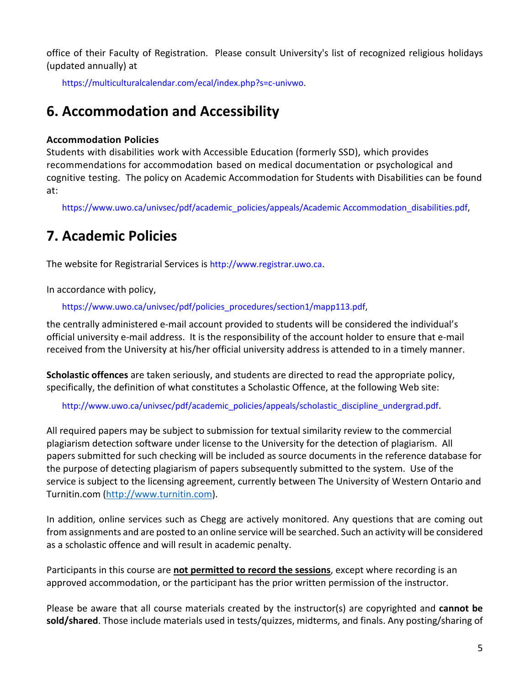office of their Faculty of Registration. Please consult University's list of recognized religious holidays (updated annually) at

https://multiculturalcalendar.com/ecal/index.php?s=c-univwo.

### **6. Accommodation and Accessibility**

#### **Accommodation Policies**

Students with disabilities work with Accessible Education (formerly SSD), which provides recommendations for accommodation based on medical documentation or psychological and cognitive testing. The policy on Academic Accommodation for Students with Disabilities can be found at:

https://www.uwo.ca/univsec/pdf/academic\_policies/appeals/Academic Accommodation\_disabilities.pdf,

### **7. Academic Policies**

The website for Registrarial Services is http://www.registrar.uwo.ca.

In accordance with policy,

https://www.uwo.ca/univsec/pdf/policies\_procedures/section1/mapp113.pdf,

the centrally administered e-mail account provided to students will be considered the individual's official university e-mail address. It is the responsibility of the account holder to ensure that e-mail received from the University at his/her official university address is attended to in a timely manner.

**Scholastic offences** are taken seriously, and students are directed to read the appropriate policy, specifically, the definition of what constitutes a Scholastic Offence, at the following Web site:

http://www.uwo.ca/univsec/pdf/academic\_policies/appeals/scholastic\_discipline\_undergrad.pdf.

All required papers may be subject to submission for textual similarity review to the commercial plagiarism detection software under license to the University for the detection of plagiarism. All papers submitted for such checking will be included as source documents in the reference database for the purpose of detecting plagiarism of papers subsequently submitted to the system. Use of the service is subject to the licensing agreement, currently between The University of Western Ontario and Turnitin.com (http://www.turnitin.com).

In addition, online services such as Chegg are actively monitored. Any questions that are coming out from assignments and are posted to an online service will be searched. Such an activity will be considered as a scholastic offence and will result in academic penalty.

Participants in this course are **not permitted to record the sessions**, except where recording is an approved accommodation, or the participant has the prior written permission of the instructor.

Please be aware that all course materials created by the instructor(s) are copyrighted and **cannot be sold/shared**. Those include materials used in tests/quizzes, midterms, and finals. Any posting/sharing of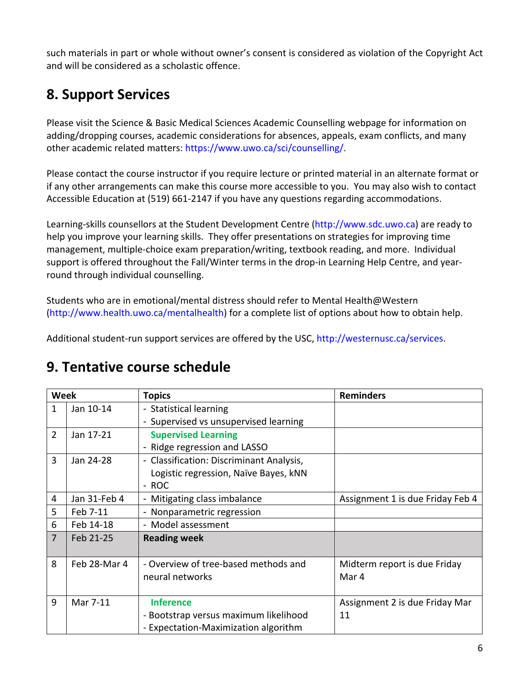such materials in part or whole without owner's consent is considered as violation of the Copyright Act and will be considered as a scholastic offence.

## **8. Support Services**

Please visit the Science & Basic Medical Sciences Academic Counselling webpage for information on adding/dropping courses, academic considerations for absences, appeals, exam conflicts, and many other academic related matters: https://www.uwo.ca/sci/counselling/.

Please contact the course instructor if you require lecture or printed material in an alternate format or if any other arrangements can make this course more accessible to you. You may also wish to contact Accessible Education at (519) 661-2147 if you have any questions regarding accommodations.

Learning-skills counsellors at the Student Development Centre (http://www.sdc.uwo.ca) are ready to help you improve your learning skills. They offer presentations on strategies for improving time management, multiple-choice exam preparation/writing, textbook reading, and more. Individual support is offered throughout the Fall/Winter terms in the drop-in Learning Help Centre, and yearround through individual counselling.

Students who are in emotional/mental distress should refer to Mental Health@Western (http://www.health.uwo.ca/mentalhealth) for a complete list of options about how to obtain help.

Additional student-run support services are offered by the USC, http://westernusc.ca/services.

### **9. Tentative course schedule**

| <b>Week</b>    |              | <b>Topics</b>                                                                                     | <b>Reminders</b>                      |
|----------------|--------------|---------------------------------------------------------------------------------------------------|---------------------------------------|
| $\mathbf{1}$   | Jan 10-14    | - Statistical learning                                                                            |                                       |
|                |              | - Supervised vs unsupervised learning                                                             |                                       |
| $\overline{2}$ | Jan 17-21    | <b>Supervised Learning</b>                                                                        |                                       |
|                |              | - Ridge regression and LASSO                                                                      |                                       |
| 3              | Jan 24-28    | - Classification: Discriminant Analysis,                                                          |                                       |
|                |              | Logistic regression, Naïve Bayes, kNN                                                             |                                       |
|                |              | - ROC                                                                                             |                                       |
| 4              | Jan 31-Feb 4 | - Mitigating class imbalance                                                                      | Assignment 1 is due Friday Feb 4      |
| 5              | Feb 7-11     | - Nonparametric regression                                                                        |                                       |
| 6              | Feb 14-18    | - Model assessment                                                                                |                                       |
| $\overline{7}$ | Feb 21-25    | <b>Reading week</b>                                                                               |                                       |
| 8              | Feb 28-Mar 4 | - Overview of tree-based methods and<br>neural networks                                           | Midterm report is due Friday<br>Mar 4 |
| 9              | Mar 7-11     | <b>Inference</b><br>- Bootstrap versus maximum likelihood<br>- Expectation-Maximization algorithm | Assignment 2 is due Friday Mar<br>11  |